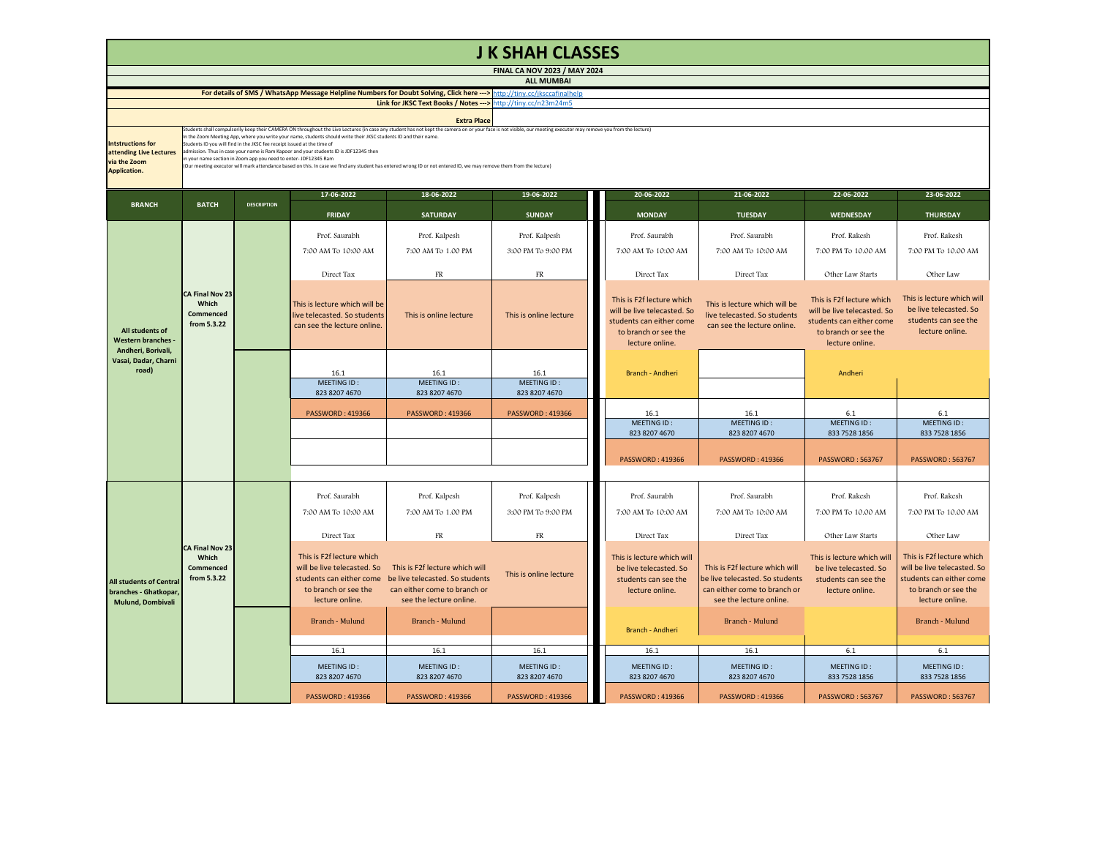| <b>J K SHAH CLASSES</b>                                                                                                  |                                                                                                                                                                                                                                                                                                                                                                                                                                                                                                                                                                                                                                                                                                                                                   |                    |                                                                                                     |                                                                                                                                                       |                              |  |                                                                                                                                 |                                                                                                                              |                                                                                                                                 |                                                                                                                                 |  |  |
|--------------------------------------------------------------------------------------------------------------------------|---------------------------------------------------------------------------------------------------------------------------------------------------------------------------------------------------------------------------------------------------------------------------------------------------------------------------------------------------------------------------------------------------------------------------------------------------------------------------------------------------------------------------------------------------------------------------------------------------------------------------------------------------------------------------------------------------------------------------------------------------|--------------------|-----------------------------------------------------------------------------------------------------|-------------------------------------------------------------------------------------------------------------------------------------------------------|------------------------------|--|---------------------------------------------------------------------------------------------------------------------------------|------------------------------------------------------------------------------------------------------------------------------|---------------------------------------------------------------------------------------------------------------------------------|---------------------------------------------------------------------------------------------------------------------------------|--|--|
| <b>FINAL CA NOV 2023 / MAY 2024</b><br><b>ALL MUMBAI</b>                                                                 |                                                                                                                                                                                                                                                                                                                                                                                                                                                                                                                                                                                                                                                                                                                                                   |                    |                                                                                                     |                                                                                                                                                       |                              |  |                                                                                                                                 |                                                                                                                              |                                                                                                                                 |                                                                                                                                 |  |  |
| For details of SMS / WhatsApp Message Helpline Numbers for Doubt Solving, Click here ---> http://tiny.cc/jksccafinalhelp |                                                                                                                                                                                                                                                                                                                                                                                                                                                                                                                                                                                                                                                                                                                                                   |                    |                                                                                                     |                                                                                                                                                       |                              |  |                                                                                                                                 |                                                                                                                              |                                                                                                                                 |                                                                                                                                 |  |  |
| Link for JKSC Text Books / Notes ---> http://tiny.cc/n23m24m5                                                            |                                                                                                                                                                                                                                                                                                                                                                                                                                                                                                                                                                                                                                                                                                                                                   |                    |                                                                                                     |                                                                                                                                                       |                              |  |                                                                                                                                 |                                                                                                                              |                                                                                                                                 |                                                                                                                                 |  |  |
|                                                                                                                          |                                                                                                                                                                                                                                                                                                                                                                                                                                                                                                                                                                                                                                                                                                                                                   |                    |                                                                                                     | <b>Extra Place</b>                                                                                                                                    |                              |  |                                                                                                                                 |                                                                                                                              |                                                                                                                                 |                                                                                                                                 |  |  |
| <b>Intstructions for</b><br>attending Live Lectures<br>via the Zoom<br><b>Application.</b>                               | Students shall compulsorily keep their CAMERA ON throughout the Live Lectures (in case any student has not kept the camera on or your face is not visible, our meeting executor may remove you from the lecture)<br>In the Zoom Meeting App, where you write your name, students should write their JKSC students ID and their name.<br>Students ID you will find in the JKSC fee receipt issued at the time of<br>admission. Thus in case your name is Ram Kapoor and your students ID is JDF12345 then<br>in your name section in Zoom app you need to enter-JDF12345 Ram<br>(Our meeting executor will mark attendance based on this. In case we find any student has entered wrong ID or not entered ID, we may remove them from the lecture) |                    |                                                                                                     |                                                                                                                                                       |                              |  |                                                                                                                                 |                                                                                                                              |                                                                                                                                 |                                                                                                                                 |  |  |
|                                                                                                                          |                                                                                                                                                                                                                                                                                                                                                                                                                                                                                                                                                                                                                                                                                                                                                   |                    | 17-06-2022                                                                                          | 18-06-2022                                                                                                                                            | 19-06-2022                   |  | 20-06-2022                                                                                                                      | 21-06-2022                                                                                                                   | 22-06-2022                                                                                                                      | 23-06-2022                                                                                                                      |  |  |
| <b>BRANCH</b>                                                                                                            | <b>BATCH</b>                                                                                                                                                                                                                                                                                                                                                                                                                                                                                                                                                                                                                                                                                                                                      | <b>DESCRIPTION</b> | <b>FRIDAY</b>                                                                                       | <b>SATURDAY</b>                                                                                                                                       | <b>SUNDAY</b>                |  | <b>MONDAY</b>                                                                                                                   | <b>TUESDAY</b>                                                                                                               | <b>WEDNESDAY</b>                                                                                                                | <b>THURSDAY</b>                                                                                                                 |  |  |
|                                                                                                                          |                                                                                                                                                                                                                                                                                                                                                                                                                                                                                                                                                                                                                                                                                                                                                   |                    | Prof. Saurabh                                                                                       | Prof. Kalpesh                                                                                                                                         | Prof. Kalpesh                |  | Prof. Saurabh                                                                                                                   | Prof. Saurabh                                                                                                                | Prof. Rakesh                                                                                                                    | Prof. Rakesh                                                                                                                    |  |  |
|                                                                                                                          |                                                                                                                                                                                                                                                                                                                                                                                                                                                                                                                                                                                                                                                                                                                                                   |                    | 7:00 AM To 10:00 AM                                                                                 | 7:00 AM To 1.00 PM                                                                                                                                    | 3:00 PM To 9:00 PM           |  | 7:00 AM To 10:00 AM                                                                                                             | 7:00 AM To 10:00 AM                                                                                                          | 7:00 PM To 10.00 AM                                                                                                             | 7:00 PM To 10.00 AM                                                                                                             |  |  |
|                                                                                                                          |                                                                                                                                                                                                                                                                                                                                                                                                                                                                                                                                                                                                                                                                                                                                                   |                    |                                                                                                     |                                                                                                                                                       |                              |  |                                                                                                                                 |                                                                                                                              |                                                                                                                                 |                                                                                                                                 |  |  |
|                                                                                                                          |                                                                                                                                                                                                                                                                                                                                                                                                                                                                                                                                                                                                                                                                                                                                                   |                    | Direct Tax                                                                                          | ${\rm FR}$                                                                                                                                            | FR                           |  | Direct Tax                                                                                                                      | Direct Tax                                                                                                                   | Other Law Starts                                                                                                                | Other Law                                                                                                                       |  |  |
| All students of<br><b>Western branches -</b><br>Andheri, Borivali,<br>Vasai, Dadar, Charni<br>road)                      | <b>CA Final Nov 23</b><br>Which<br><b>Commenced</b><br>from 5.3.22                                                                                                                                                                                                                                                                                                                                                                                                                                                                                                                                                                                                                                                                                |                    | This is lecture which will be<br>live telecasted. So students<br>can see the lecture online.        | This is online lecture                                                                                                                                | This is online lecture       |  | This is F2f lecture which<br>will be live telecasted. So<br>students can either come<br>to branch or see the<br>lecture online. | This is lecture which will be<br>live telecasted. So students<br>can see the lecture online.                                 | This is F2f lecture which<br>will be live telecasted. So<br>students can either come<br>to branch or see the<br>lecture online. | This is lecture which will<br>be live telecasted. So<br>students can see the<br>lecture online.                                 |  |  |
|                                                                                                                          |                                                                                                                                                                                                                                                                                                                                                                                                                                                                                                                                                                                                                                                                                                                                                   |                    | 16.1                                                                                                | 16.1                                                                                                                                                  | 16.1                         |  | Branch - Andheri                                                                                                                |                                                                                                                              | Andheri                                                                                                                         |                                                                                                                                 |  |  |
|                                                                                                                          |                                                                                                                                                                                                                                                                                                                                                                                                                                                                                                                                                                                                                                                                                                                                                   |                    | MEETING ID:                                                                                         | MEETING ID:                                                                                                                                           | MEETING ID:                  |  |                                                                                                                                 |                                                                                                                              |                                                                                                                                 |                                                                                                                                 |  |  |
|                                                                                                                          |                                                                                                                                                                                                                                                                                                                                                                                                                                                                                                                                                                                                                                                                                                                                                   |                    | 823 8207 4670                                                                                       | 823 8207 4670                                                                                                                                         | 823 8207 4670                |  |                                                                                                                                 |                                                                                                                              |                                                                                                                                 |                                                                                                                                 |  |  |
|                                                                                                                          |                                                                                                                                                                                                                                                                                                                                                                                                                                                                                                                                                                                                                                                                                                                                                   |                    | <b>PASSWORD: 419366</b>                                                                             | <b>PASSWORD: 419366</b>                                                                                                                               | <b>PASSWORD: 419366</b>      |  | 16.1                                                                                                                            | 16.1                                                                                                                         | 6.1                                                                                                                             | 6.1                                                                                                                             |  |  |
|                                                                                                                          |                                                                                                                                                                                                                                                                                                                                                                                                                                                                                                                                                                                                                                                                                                                                                   |                    |                                                                                                     |                                                                                                                                                       |                              |  | MEETING ID:<br>823 8207 4670                                                                                                    | MEETING ID:<br>823 8207 4670                                                                                                 | MEETING ID:<br>833 7528 1856                                                                                                    | MEETING ID:<br>833 7528 1856                                                                                                    |  |  |
|                                                                                                                          |                                                                                                                                                                                                                                                                                                                                                                                                                                                                                                                                                                                                                                                                                                                                                   |                    |                                                                                                     |                                                                                                                                                       |                              |  |                                                                                                                                 |                                                                                                                              |                                                                                                                                 |                                                                                                                                 |  |  |
|                                                                                                                          |                                                                                                                                                                                                                                                                                                                                                                                                                                                                                                                                                                                                                                                                                                                                                   |                    |                                                                                                     |                                                                                                                                                       |                              |  | <b>PASSWORD: 419366</b>                                                                                                         | <b>PASSWORD: 419366</b>                                                                                                      | <b>PASSWORD: 563767</b>                                                                                                         | <b>PASSWORD: 563767</b>                                                                                                         |  |  |
|                                                                                                                          |                                                                                                                                                                                                                                                                                                                                                                                                                                                                                                                                                                                                                                                                                                                                                   |                    |                                                                                                     |                                                                                                                                                       |                              |  |                                                                                                                                 |                                                                                                                              |                                                                                                                                 |                                                                                                                                 |  |  |
| <b>All students of Central</b><br>branches - Ghatkopar,<br><b>Mulund, Dombivali</b>                                      | <b>CA Final Nov 23</b><br>Which<br><b>Commenced</b><br>from 5.3.22                                                                                                                                                                                                                                                                                                                                                                                                                                                                                                                                                                                                                                                                                |                    |                                                                                                     |                                                                                                                                                       |                              |  |                                                                                                                                 |                                                                                                                              |                                                                                                                                 |                                                                                                                                 |  |  |
|                                                                                                                          |                                                                                                                                                                                                                                                                                                                                                                                                                                                                                                                                                                                                                                                                                                                                                   |                    | Prof. Saurabh                                                                                       | Prof. Kalpesh                                                                                                                                         | Prof. Kalpesh                |  | Prof. Saurabh                                                                                                                   | Prof. Saurabh                                                                                                                | Prof. Rakesh                                                                                                                    | Prof. Rakesh                                                                                                                    |  |  |
|                                                                                                                          |                                                                                                                                                                                                                                                                                                                                                                                                                                                                                                                                                                                                                                                                                                                                                   |                    | 7:00 AM To 10:00 AM                                                                                 | 7:00 AM To 1.00 PM                                                                                                                                    | 3:00 PM To 9:00 PM           |  | 7:00 AM To 10:00 AM                                                                                                             | 7:00 AM To 10:00 AM                                                                                                          | 7:00 PM To 10.00 AM                                                                                                             | 7:00 PM To 10.00 AM                                                                                                             |  |  |
|                                                                                                                          |                                                                                                                                                                                                                                                                                                                                                                                                                                                                                                                                                                                                                                                                                                                                                   |                    | Direct Tax                                                                                          | ${\rm FR}$                                                                                                                                            | FR                           |  | Direct Tax                                                                                                                      | Direct Tax                                                                                                                   | Other Law Starts                                                                                                                | Other Law                                                                                                                       |  |  |
|                                                                                                                          |                                                                                                                                                                                                                                                                                                                                                                                                                                                                                                                                                                                                                                                                                                                                                   |                    | This is F2f lecture which<br>will be live telecasted. So<br>to branch or see the<br>lecture online. | This is F2f lecture which will<br>students can either come be live telecasted. So students<br>can either come to branch or<br>see the lecture online. | This is online lecture       |  | This is lecture which will<br>be live telecasted. So<br>students can see the<br>lecture online.                                 | This is F2f lecture which will<br>be live telecasted. So students<br>can either come to branch or<br>see the lecture online. | This is lecture which will<br>be live telecasted. So<br>students can see the<br>lecture online.                                 | This is F2f lecture which<br>will be live telecasted. So<br>students can either come<br>to branch or see the<br>lecture online. |  |  |
|                                                                                                                          |                                                                                                                                                                                                                                                                                                                                                                                                                                                                                                                                                                                                                                                                                                                                                   |                    | Branch - Mulund                                                                                     | Branch - Mulund                                                                                                                                       |                              |  | Branch - Andheri                                                                                                                | <b>Branch - Mulund</b>                                                                                                       |                                                                                                                                 | Branch - Mulund                                                                                                                 |  |  |
|                                                                                                                          |                                                                                                                                                                                                                                                                                                                                                                                                                                                                                                                                                                                                                                                                                                                                                   |                    | 16.1                                                                                                | 16.1                                                                                                                                                  | 16.1                         |  | 16.1                                                                                                                            | 16.1                                                                                                                         | 6.1                                                                                                                             | 6.1                                                                                                                             |  |  |
|                                                                                                                          |                                                                                                                                                                                                                                                                                                                                                                                                                                                                                                                                                                                                                                                                                                                                                   |                    | MEETING ID:<br>823 8207 4670                                                                        | MEETING ID:<br>823 8207 4670                                                                                                                          | MEETING ID:<br>823 8207 4670 |  | MEETING ID:<br>823 8207 4670                                                                                                    | MEETING ID:<br>823 8207 4670                                                                                                 | MEETING ID:<br>833 7528 1856                                                                                                    | MEETING ID:<br>833 7528 1856                                                                                                    |  |  |
|                                                                                                                          |                                                                                                                                                                                                                                                                                                                                                                                                                                                                                                                                                                                                                                                                                                                                                   |                    | <b>PASSWORD: 419366</b>                                                                             | <b>PASSWORD: 419366</b>                                                                                                                               | <b>PASSWORD: 419366</b>      |  | <b>PASSWORD: 419366</b>                                                                                                         | <b>PASSWORD: 419366</b>                                                                                                      | <b>PASSWORD: 563767</b>                                                                                                         | <b>PASSWORD: 563767</b>                                                                                                         |  |  |